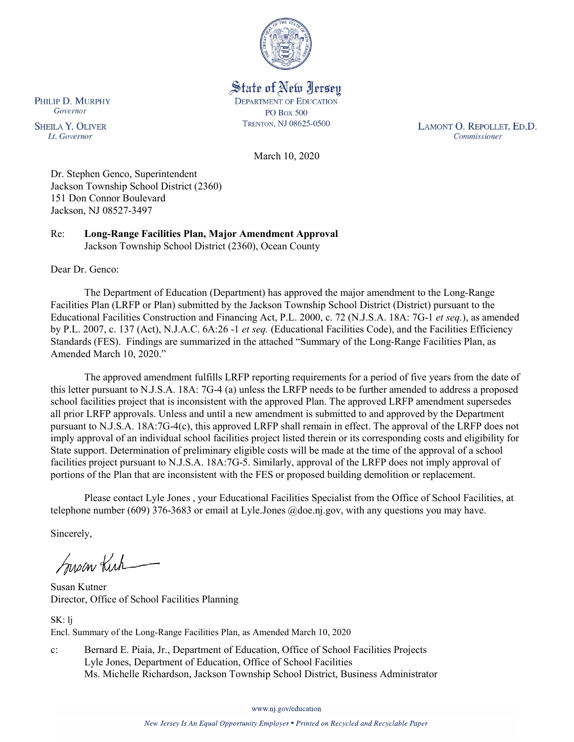

State of New Jersey **DEPARTMENT OF EDUCATION PO Box 500** TRENTON, NJ 08625-0500

LAMONT O. REPOLLET, ED.D. Commissioner

March 10, 2020

Dr. Stephen Genco, Superintendent Jackson Township School District (2360) 151 Don Connor Boulevard Jackson, NJ 08527-3497

Re: **Long-Range Facilities Plan, Major Amendment Approval** Jackson Township School District (2360), Ocean County

Dear Dr. Genco:

The Department of Education (Department) has approved the major amendment to the Long-Range Facilities Plan (LRFP or Plan) submitted by the Jackson Township School District (District) pursuant to the Educational Facilities Construction and Financing Act, P.L. 2000, c. 72 (N.J.S.A. 18A: 7G-1 *et seq.*), as amended by P.L. 2007, c. 137 (Act), N.J.A.C. 6A:26 -1 *et seq.* (Educational Facilities Code), and the Facilities Efficiency Standards (FES). Findings are summarized in the attached "Summary of the Long-Range Facilities Plan, as Amended March 10, 2020."

The approved amendment fulfills LRFP reporting requirements for a period of five years from the date of this letter pursuant to N.J.S.A. 18A: 7G-4 (a) unless the LRFP needs to be further amended to address a proposed school facilities project that is inconsistent with the approved Plan. The approved LRFP amendment supersedes all prior LRFP approvals. Unless and until a new amendment is submitted to and approved by the Department pursuant to N.J.S.A. 18A:7G-4(c), this approved LRFP shall remain in effect. The approval of the LRFP does not imply approval of an individual school facilities project listed therein or its corresponding costs and eligibility for State support. Determination of preliminary eligible costs will be made at the time of the approval of a school facilities project pursuant to N.J.S.A. 18A:7G-5. Similarly, approval of the LRFP does not imply approval of portions of the Plan that are inconsistent with the FES or proposed building demolition or replacement.

Please contact Lyle Jones , your Educational Facilities Specialist from the Office of School Facilities, at telephone number (609) 376-3683 or email at Lyle.Jones @doe.nj.gov, with any questions you may have.

Sincerely,

Susan Kich

Susan Kutner Director, Office of School Facilities Planning

SK: lj Encl. Summary of the Long-Range Facilities Plan, as Amended March 10, 2020

c: Bernard E. Piaia, Jr., Department of Education, Office of School Facilities Projects Lyle Jones, Department of Education, Office of School Facilities Ms. Michelle Richardson, Jackson Township School District, Business Administrator

www.nj.gov/education

New Jersey Is An Equal Opportunity Employer . Printed on Recycled and Recyclable Paper

PHILIP D. MURPHY Governor

**SHEILA Y. OLIVER** Lt. Governor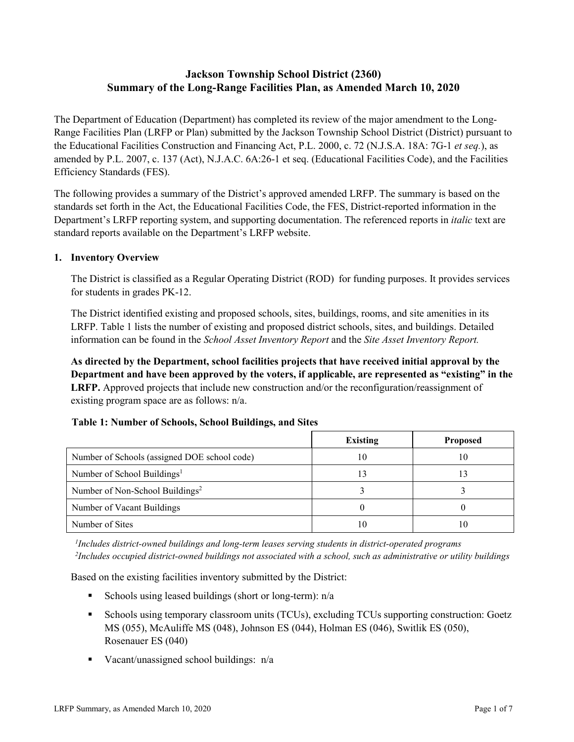# **Jackson Township School District (2360) Summary of the Long-Range Facilities Plan, as Amended March 10, 2020**

The Department of Education (Department) has completed its review of the major amendment to the Long-Range Facilities Plan (LRFP or Plan) submitted by the Jackson Township School District (District) pursuant to the Educational Facilities Construction and Financing Act, P.L. 2000, c. 72 (N.J.S.A. 18A: 7G-1 *et seq.*), as amended by P.L. 2007, c. 137 (Act), N.J.A.C. 6A:26-1 et seq. (Educational Facilities Code), and the Facilities Efficiency Standards (FES).

The following provides a summary of the District's approved amended LRFP. The summary is based on the standards set forth in the Act, the Educational Facilities Code, the FES, District-reported information in the Department's LRFP reporting system, and supporting documentation. The referenced reports in *italic* text are standard reports available on the Department's LRFP website.

## **1. Inventory Overview**

The District is classified as a Regular Operating District (ROD) for funding purposes. It provides services for students in grades PK-12.

The District identified existing and proposed schools, sites, buildings, rooms, and site amenities in its LRFP. Table 1 lists the number of existing and proposed district schools, sites, and buildings. Detailed information can be found in the *School Asset Inventory Report* and the *Site Asset Inventory Report.*

**As directed by the Department, school facilities projects that have received initial approval by the Department and have been approved by the voters, if applicable, are represented as "existing" in the LRFP.** Approved projects that include new construction and/or the reconfiguration/reassignment of existing program space are as follows: n/a.

| <b>Table 1: Number of Schools, School Buildings, and Sites</b> |  |  |
|----------------------------------------------------------------|--|--|
|                                                                |  |  |

|                                              | <b>Existing</b> | <b>Proposed</b> |
|----------------------------------------------|-----------------|-----------------|
| Number of Schools (assigned DOE school code) | 10              | 10              |
| Number of School Buildings <sup>1</sup>      |                 |                 |
| Number of Non-School Buildings <sup>2</sup>  |                 |                 |
| Number of Vacant Buildings                   |                 |                 |
| Number of Sites                              |                 | 10              |

*1 Includes district-owned buildings and long-term leases serving students in district-operated programs 2 Includes occupied district-owned buildings not associated with a school, such as administrative or utility buildings*

Based on the existing facilities inventory submitted by the District:

- Schools using leased buildings (short or long-term):  $n/a$
- Schools using temporary classroom units (TCUs), excluding TCUs supporting construction: Goetz MS (055), McAuliffe MS (048), Johnson ES (044), Holman ES (046), Switlik ES (050), Rosenauer ES (040)
- Vacant/unassigned school buildings:  $n/a$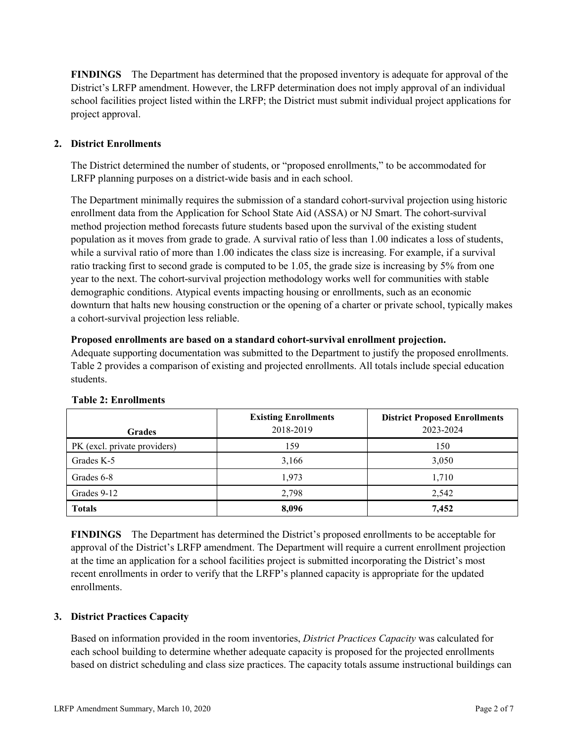**FINDINGS** The Department has determined that the proposed inventory is adequate for approval of the District's LRFP amendment. However, the LRFP determination does not imply approval of an individual school facilities project listed within the LRFP; the District must submit individual project applications for project approval.

# **2. District Enrollments**

The District determined the number of students, or "proposed enrollments," to be accommodated for LRFP planning purposes on a district-wide basis and in each school.

The Department minimally requires the submission of a standard cohort-survival projection using historic enrollment data from the Application for School State Aid (ASSA) or NJ Smart. The cohort-survival method projection method forecasts future students based upon the survival of the existing student population as it moves from grade to grade. A survival ratio of less than 1.00 indicates a loss of students, while a survival ratio of more than 1.00 indicates the class size is increasing. For example, if a survival ratio tracking first to second grade is computed to be 1.05, the grade size is increasing by 5% from one year to the next. The cohort-survival projection methodology works well for communities with stable demographic conditions. Atypical events impacting housing or enrollments, such as an economic downturn that halts new housing construction or the opening of a charter or private school, typically makes a cohort-survival projection less reliable.

#### **Proposed enrollments are based on a standard cohort-survival enrollment projection.**

Adequate supporting documentation was submitted to the Department to justify the proposed enrollments. Table 2 provides a comparison of existing and projected enrollments. All totals include special education students.

|                              | <b>Existing Enrollments</b> | <b>District Proposed Enrollments</b> |
|------------------------------|-----------------------------|--------------------------------------|
| <b>Grades</b>                | 2018-2019                   | 2023-2024                            |
| PK (excl. private providers) | 159                         | 150                                  |
| Grades K-5                   | 3,166                       | 3,050                                |
| Grades 6-8                   | 1,973                       | 1,710                                |
| Grades 9-12                  | 2,798                       | 2,542                                |
| <b>Totals</b>                | 8,096                       | 7,452                                |

#### **Table 2: Enrollments**

**FINDINGS** The Department has determined the District's proposed enrollments to be acceptable for approval of the District's LRFP amendment. The Department will require a current enrollment projection at the time an application for a school facilities project is submitted incorporating the District's most recent enrollments in order to verify that the LRFP's planned capacity is appropriate for the updated enrollments.

#### **3. District Practices Capacity**

Based on information provided in the room inventories, *District Practices Capacity* was calculated for each school building to determine whether adequate capacity is proposed for the projected enrollments based on district scheduling and class size practices. The capacity totals assume instructional buildings can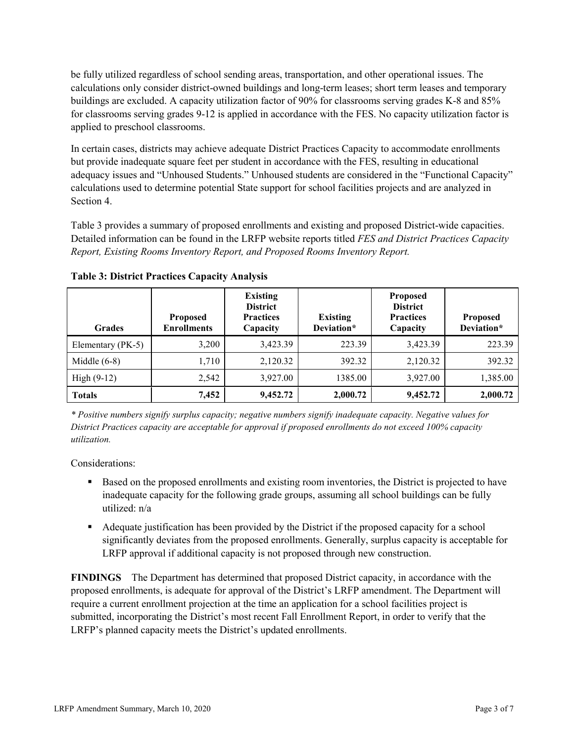be fully utilized regardless of school sending areas, transportation, and other operational issues. The calculations only consider district-owned buildings and long-term leases; short term leases and temporary buildings are excluded. A capacity utilization factor of 90% for classrooms serving grades K-8 and 85% for classrooms serving grades 9-12 is applied in accordance with the FES. No capacity utilization factor is applied to preschool classrooms.

In certain cases, districts may achieve adequate District Practices Capacity to accommodate enrollments but provide inadequate square feet per student in accordance with the FES, resulting in educational adequacy issues and "Unhoused Students." Unhoused students are considered in the "Functional Capacity" calculations used to determine potential State support for school facilities projects and are analyzed in Section 4.

Table 3 provides a summary of proposed enrollments and existing and proposed District-wide capacities. Detailed information can be found in the LRFP website reports titled *FES and District Practices Capacity Report, Existing Rooms Inventory Report, and Proposed Rooms Inventory Report.*

| <b>Grades</b>     | <b>Proposed</b><br><b>Enrollments</b> | <b>Existing</b><br><b>District</b><br><b>Practices</b><br>Capacity | <b>Existing</b><br>Deviation* | <b>Proposed</b><br><b>District</b><br><b>Practices</b><br>Capacity | <b>Proposed</b><br>Deviation* |
|-------------------|---------------------------------------|--------------------------------------------------------------------|-------------------------------|--------------------------------------------------------------------|-------------------------------|
| Elementary (PK-5) | 3,200                                 | 3,423.39                                                           | 223.39                        | 3,423.39                                                           | 223.39                        |
| Middle $(6-8)$    | 1,710                                 | 2,120.32                                                           | 392.32                        | 2,120.32                                                           | 392.32                        |
| $High(9-12)$      | 2,542                                 | 3,927.00                                                           | 1385.00                       | 3,927.00                                                           | 1,385.00                      |
| <b>Totals</b>     | 7,452                                 | 9,452.72                                                           | 2,000.72                      | 9,452.72                                                           | 2,000.72                      |

**Table 3: District Practices Capacity Analysis**

*\* Positive numbers signify surplus capacity; negative numbers signify inadequate capacity. Negative values for District Practices capacity are acceptable for approval if proposed enrollments do not exceed 100% capacity utilization.*

Considerations:

- **Based on the proposed enrollments and existing room inventories, the District is projected to have** inadequate capacity for the following grade groups, assuming all school buildings can be fully utilized: n/a
- Adequate justification has been provided by the District if the proposed capacity for a school significantly deviates from the proposed enrollments. Generally, surplus capacity is acceptable for LRFP approval if additional capacity is not proposed through new construction.

**FINDINGS**The Department has determined that proposed District capacity, in accordance with the proposed enrollments, is adequate for approval of the District's LRFP amendment. The Department will require a current enrollment projection at the time an application for a school facilities project is submitted, incorporating the District's most recent Fall Enrollment Report, in order to verify that the LRFP's planned capacity meets the District's updated enrollments.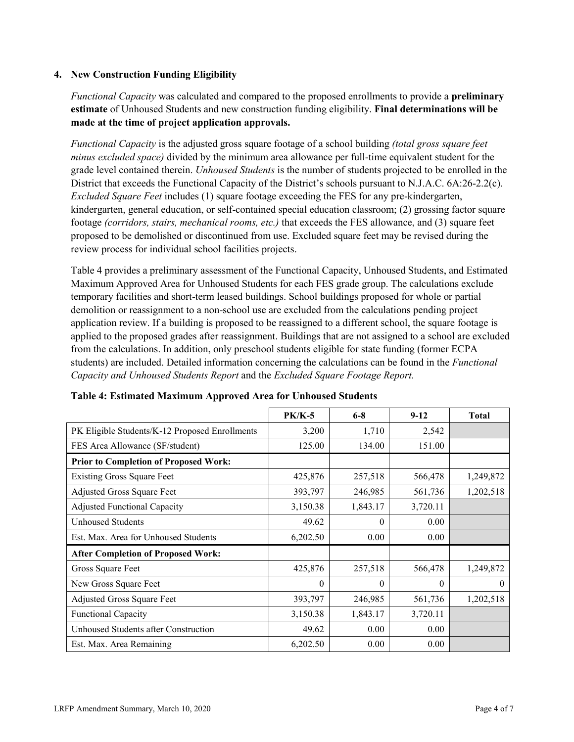## **4. New Construction Funding Eligibility**

*Functional Capacity* was calculated and compared to the proposed enrollments to provide a **preliminary estimate** of Unhoused Students and new construction funding eligibility. **Final determinations will be made at the time of project application approvals.**

*Functional Capacity* is the adjusted gross square footage of a school building *(total gross square feet minus excluded space)* divided by the minimum area allowance per full-time equivalent student for the grade level contained therein. *Unhoused Students* is the number of students projected to be enrolled in the District that exceeds the Functional Capacity of the District's schools pursuant to N.J.A.C. 6A:26-2.2(c). *Excluded Square Feet* includes (1) square footage exceeding the FES for any pre-kindergarten, kindergarten, general education, or self-contained special education classroom; (2) grossing factor square footage *(corridors, stairs, mechanical rooms, etc.)* that exceeds the FES allowance, and (3) square feet proposed to be demolished or discontinued from use. Excluded square feet may be revised during the review process for individual school facilities projects.

Table 4 provides a preliminary assessment of the Functional Capacity, Unhoused Students, and Estimated Maximum Approved Area for Unhoused Students for each FES grade group. The calculations exclude temporary facilities and short-term leased buildings. School buildings proposed for whole or partial demolition or reassignment to a non-school use are excluded from the calculations pending project application review. If a building is proposed to be reassigned to a different school, the square footage is applied to the proposed grades after reassignment. Buildings that are not assigned to a school are excluded from the calculations. In addition, only preschool students eligible for state funding (former ECPA students) are included. Detailed information concerning the calculations can be found in the *Functional Capacity and Unhoused Students Report* and the *Excluded Square Footage Report.*

|                                                | $PK/K-5$ | $6 - 8$  | $9 - 12$ | <b>Total</b> |
|------------------------------------------------|----------|----------|----------|--------------|
| PK Eligible Students/K-12 Proposed Enrollments | 3,200    | 1,710    | 2,542    |              |
| FES Area Allowance (SF/student)                | 125.00   | 134.00   | 151.00   |              |
| <b>Prior to Completion of Proposed Work:</b>   |          |          |          |              |
| <b>Existing Gross Square Feet</b>              | 425,876  | 257,518  | 566,478  | 1,249,872    |
| Adjusted Gross Square Feet                     | 393,797  | 246,985  | 561,736  | 1,202,518    |
| <b>Adjusted Functional Capacity</b>            | 3,150.38 | 1,843.17 | 3,720.11 |              |
| Unhoused Students                              | 49.62    | $\Omega$ | 0.00     |              |
| Est. Max. Area for Unhoused Students           | 6,202.50 | 0.00     | 0.00     |              |
| <b>After Completion of Proposed Work:</b>      |          |          |          |              |
| Gross Square Feet                              | 425,876  | 257,518  | 566,478  | 1,249,872    |
| New Gross Square Feet                          | $\theta$ | $\theta$ | $\theta$ | $\theta$     |
| Adjusted Gross Square Feet                     | 393,797  | 246,985  | 561,736  | 1,202,518    |
| Functional Capacity                            | 3,150.38 | 1,843.17 | 3,720.11 |              |
| Unhoused Students after Construction           | 49.62    | 0.00     | 0.00     |              |
| Est. Max. Area Remaining                       | 6,202.50 | 0.00     | 0.00     |              |

| Table 4: Estimated Maximum Approved Area for Unhoused Students |
|----------------------------------------------------------------|
|----------------------------------------------------------------|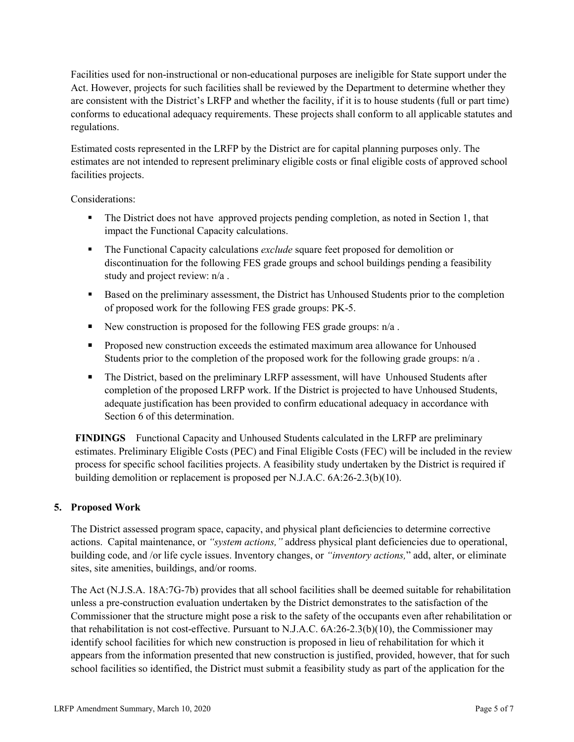Facilities used for non-instructional or non-educational purposes are ineligible for State support under the Act. However, projects for such facilities shall be reviewed by the Department to determine whether they are consistent with the District's LRFP and whether the facility, if it is to house students (full or part time) conforms to educational adequacy requirements. These projects shall conform to all applicable statutes and regulations.

Estimated costs represented in the LRFP by the District are for capital planning purposes only. The estimates are not intended to represent preliminary eligible costs or final eligible costs of approved school facilities projects.

Considerations:

- The District does not have approved projects pending completion, as noted in Section 1, that impact the Functional Capacity calculations.
- The Functional Capacity calculations *exclude* square feet proposed for demolition or discontinuation for the following FES grade groups and school buildings pending a feasibility study and project review: n/a .
- Based on the preliminary assessment, the District has Unhoused Students prior to the completion of proposed work for the following FES grade groups: PK-5.
- New construction is proposed for the following FES grade groups:  $n/a$ .
- **Proposed new construction exceeds the estimated maximum area allowance for Unhoused** Students prior to the completion of the proposed work for the following grade groups:  $n/a$ .
- The District, based on the preliminary LRFP assessment, will have Unhoused Students after completion of the proposed LRFP work. If the District is projected to have Unhoused Students, adequate justification has been provided to confirm educational adequacy in accordance with Section 6 of this determination.

**FINDINGS** Functional Capacity and Unhoused Students calculated in the LRFP are preliminary estimates. Preliminary Eligible Costs (PEC) and Final Eligible Costs (FEC) will be included in the review process for specific school facilities projects. A feasibility study undertaken by the District is required if building demolition or replacement is proposed per N.J.A.C. 6A:26-2.3(b)(10).

# **5. Proposed Work**

The District assessed program space, capacity, and physical plant deficiencies to determine corrective actions. Capital maintenance, or *"system actions,"* address physical plant deficiencies due to operational, building code, and /or life cycle issues. Inventory changes, or *"inventory actions,*" add, alter, or eliminate sites, site amenities, buildings, and/or rooms.

The Act (N.J.S.A. 18A:7G-7b) provides that all school facilities shall be deemed suitable for rehabilitation unless a pre-construction evaluation undertaken by the District demonstrates to the satisfaction of the Commissioner that the structure might pose a risk to the safety of the occupants even after rehabilitation or that rehabilitation is not cost-effective. Pursuant to N.J.A.C. 6A:26-2.3(b)(10), the Commissioner may identify school facilities for which new construction is proposed in lieu of rehabilitation for which it appears from the information presented that new construction is justified, provided, however, that for such school facilities so identified, the District must submit a feasibility study as part of the application for the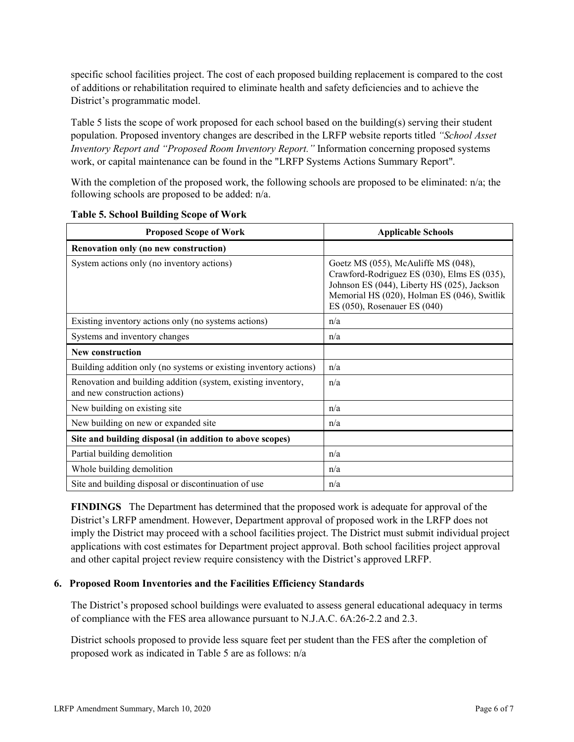specific school facilities project. The cost of each proposed building replacement is compared to the cost of additions or rehabilitation required to eliminate health and safety deficiencies and to achieve the District's programmatic model.

Table 5 lists the scope of work proposed for each school based on the building(s) serving their student population. Proposed inventory changes are described in the LRFP website reports titled *"School Asset Inventory Report and "Proposed Room Inventory Report."* Information concerning proposed systems work, or capital maintenance can be found in the "LRFP Systems Actions Summary Report".

With the completion of the proposed work, the following schools are proposed to be eliminated: n/a; the following schools are proposed to be added: n/a.

| <b>Proposed Scope of Work</b>                                                                  | <b>Applicable Schools</b>                                                                                                                                                                                              |  |  |
|------------------------------------------------------------------------------------------------|------------------------------------------------------------------------------------------------------------------------------------------------------------------------------------------------------------------------|--|--|
| Renovation only (no new construction)                                                          |                                                                                                                                                                                                                        |  |  |
| System actions only (no inventory actions)                                                     | Goetz MS $(055)$ , McAuliffe MS $(048)$ ,<br>Crawford-Rodriguez ES (030), Elms ES (035),<br>Johnson ES (044), Liberty HS (025), Jackson<br>Memorial HS (020), Holman ES (046), Switlik<br>ES (050), Rosenauer ES (040) |  |  |
| Existing inventory actions only (no systems actions)                                           | n/a                                                                                                                                                                                                                    |  |  |
| Systems and inventory changes                                                                  | n/a                                                                                                                                                                                                                    |  |  |
| New construction                                                                               |                                                                                                                                                                                                                        |  |  |
| Building addition only (no systems or existing inventory actions)                              | n/a                                                                                                                                                                                                                    |  |  |
| Renovation and building addition (system, existing inventory,<br>and new construction actions) | n/a                                                                                                                                                                                                                    |  |  |
| New building on existing site                                                                  | n/a                                                                                                                                                                                                                    |  |  |
| New building on new or expanded site                                                           | n/a                                                                                                                                                                                                                    |  |  |
| Site and building disposal (in addition to above scopes)                                       |                                                                                                                                                                                                                        |  |  |
| Partial building demolition                                                                    | n/a                                                                                                                                                                                                                    |  |  |
| Whole building demolition                                                                      | n/a                                                                                                                                                                                                                    |  |  |
| Site and building disposal or discontinuation of use                                           | n/a                                                                                                                                                                                                                    |  |  |

**Table 5. School Building Scope of Work**

**FINDINGS** The Department has determined that the proposed work is adequate for approval of the District's LRFP amendment. However, Department approval of proposed work in the LRFP does not imply the District may proceed with a school facilities project. The District must submit individual project applications with cost estimates for Department project approval. Both school facilities project approval and other capital project review require consistency with the District's approved LRFP.

#### **6. Proposed Room Inventories and the Facilities Efficiency Standards**

The District's proposed school buildings were evaluated to assess general educational adequacy in terms of compliance with the FES area allowance pursuant to N.J.A.C. 6A:26-2.2 and 2.3.

District schools proposed to provide less square feet per student than the FES after the completion of proposed work as indicated in Table 5 are as follows: n/a